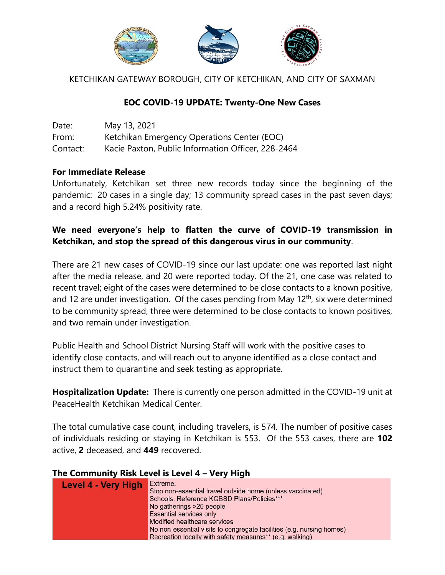

KETCHIKAN GATEWAY BOROUGH, CITY OF KETCHIKAN, AND CITY OF SAXMAN

### **EOC COVID-19 UPDATE: Twenty-One New Cases**

| Date:    | May 13, 2021                                       |
|----------|----------------------------------------------------|
| From:    | Ketchikan Emergency Operations Center (EOC)        |
| Contact: | Kacie Paxton, Public Information Officer, 228-2464 |

#### **For Immediate Release**

Unfortunately, Ketchikan set three new records today since the beginning of the pandemic: 20 cases in a single day; 13 community spread cases in the past seven days; and a record high 5.24% positivity rate.

### **We need everyone's help to flatten the curve of COVID-19 transmission in Ketchikan, and stop the spread of this dangerous virus in our community**.

There are 21 new cases of COVID-19 since our last update: one was reported last night after the media release, and 20 were reported today. Of the 21, one case was related to recent travel; eight of the cases were determined to be close contacts to a known positive, and 12 are under investigation. Of the cases pending from May 12<sup>th</sup>, six were determined to be community spread, three were determined to be close contacts to known positives, and two remain under investigation.

Public Health and School District Nursing Staff will work with the positive cases to identify close contacts, and will reach out to anyone identified as a close contact and instruct them to quarantine and seek testing as appropriate.

**Hospitalization Update:** There is currently one person admitted in the COVID-19 unit at PeaceHealth Ketchikan Medical Center.

The total cumulative case count, including travelers, is 574. The number of positive cases of individuals residing or staying in Ketchikan is 553. Of the 553 cases, there are **102** active, **2** deceased, and **449** recovered.

#### **The Community Risk Level is Level 4 – Very High**

| Level 4 - Very High | Extreme:                                                              |
|---------------------|-----------------------------------------------------------------------|
|                     | Stop non-essential travel outside home (unless vaccinated)            |
|                     | Schools: Reference KGBSD Plans/Policies***                            |
|                     | No gatherings >20 people                                              |
|                     | Essential services only                                               |
|                     | Modified healthcare services                                          |
|                     | No non-essential visits to congregate facilities (e.g. nursing homes) |
|                     | Recreation locally with safety measures** (e.g. walking)              |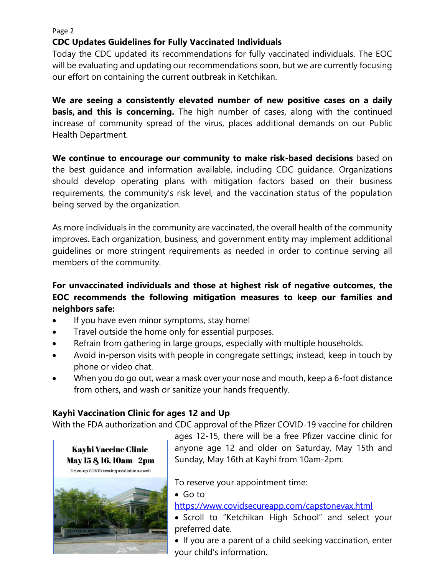Page 2

## **CDC Updates Guidelines for Fully Vaccinated Individuals**

Today the CDC updated its recommendations for fully vaccinated individuals. The EOC will be evaluating and updating our recommendations soon, but we are currently focusing our effort on containing the current outbreak in Ketchikan.

**We are seeing a consistently elevated number of new positive cases on a daily basis, and this is concerning.** The high number of cases, along with the continued increase of community spread of the virus, places additional demands on our Public Health Department.

**We continue to encourage our community to make risk-based decisions** based on the best guidance and information available, including CDC guidance. Organizations should develop operating plans with mitigation factors based on their business requirements, the community's risk level, and the vaccination status of the population being served by the organization.

As more individuals in the community are vaccinated, the overall health of the community improves. Each organization, business, and government entity may implement additional guidelines or more stringent requirements as needed in order to continue serving all members of the community.

# **For unvaccinated individuals and those at highest risk of negative outcomes, the EOC recommends the following mitigation measures to keep our families and neighbors safe:**

- If you have even minor symptoms, stay home!
- Travel outside the home only for essential purposes.
- Refrain from gathering in large groups, especially with multiple households.
- Avoid in-person visits with people in congregate settings; instead, keep in touch by phone or video chat.
- When you do go out, wear a mask over your nose and mouth, keep a 6-foot distance from others, and wash or sanitize your hands frequently.

# **Kayhi Vaccination Clinic for ages 12 and Up**

With the FDA authorization and CDC approval of the Pfizer COVID-19 vaccine for children



ages 12-15, there will be a free Pfizer vaccine clinic for anyone age 12 and older on Saturday, May 15th and Sunday, May 16th at Kayhi from 10am-2pm.

To reserve your appointment time:

Go to

[https://www.covidsecureapp.com/capstonevax.html](https://us-east-2.protection.sophos.com/?d=covidsecureapp.com&u=aHR0cHM6Ly93d3cuY292aWRzZWN1cmVhcHAuY29tL2NhcHN0b25ldmF4Lmh0bWw=&i=NWNlNTg2MzlhZTUzOWIxNGFlY2Q4NWFh&t=UENUbWxwWEQ0TzVHV044K1YydmYyQXpZd0JKNnJUNWlRaVV2SjhGUDYrVT0=&h=ef44c8e5132f41ff951caa75aa944336)

 Scroll to "Ketchikan High School" and select your preferred date.

 If you are a parent of a child seeking vaccination, enter your child's information.